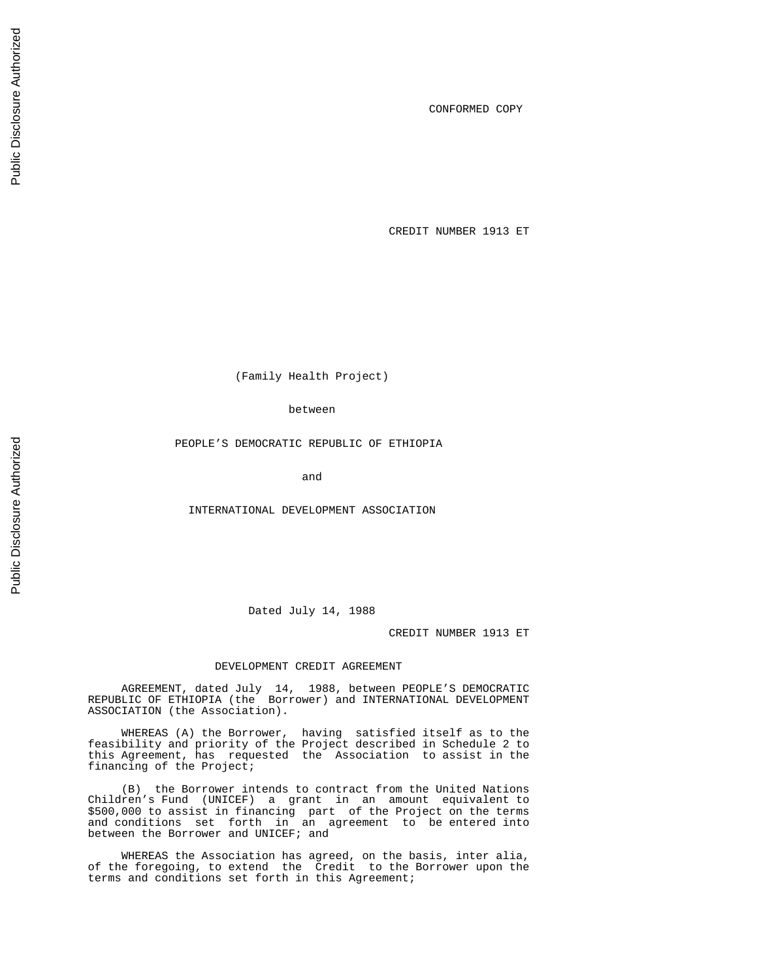CONFORMED COPY

CREDIT NUMBER 1913 ET

(Family Health Project)

between

PEOPLE'S DEMOCRATIC REPUBLIC OF ETHIOPIA

and and a state of the state of the state of the state of the state of the state of the state of the state of the state of the state of the state of the state of the state of the state of the state of the state of the stat

INTERNATIONAL DEVELOPMENT ASSOCIATION

Dated July 14, 1988

CREDIT NUMBER 1913 ET

#### DEVELOPMENT CREDIT AGREEMENT

 AGREEMENT, dated July 14, 1988, between PEOPLE'S DEMOCRATIC REPUBLIC OF ETHIOPIA (the Borrower) and INTERNATIONAL DEVELOPMENT ASSOCIATION (the Association).

 WHEREAS (A) the Borrower, having satisfied itself as to the feasibility and priority of the Project described in Schedule 2 to this Agreement, has requested the Association to assist in the financing of the Project;

 (B) the Borrower intends to contract from the United Nations Children's Fund (UNICEF) a grant in an amount equivalent to \$500,000 to assist in financing part of the Project on the terms and conditions set forth in an agreement to be entered into between the Borrower and UNICEF; and

 WHEREAS the Association has agreed, on the basis, inter alia, of the foregoing, to extend the Credit to the Borrower upon the terms and conditions set forth in this Agreement;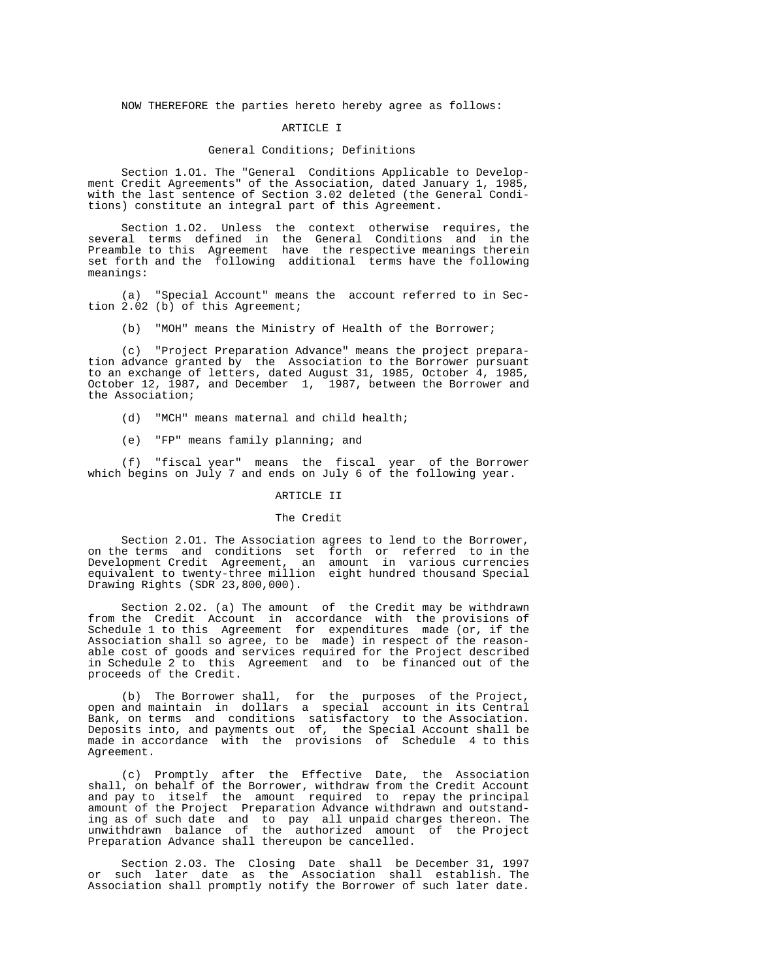NOW THEREFORE the parties hereto hereby agree as follows:

### ARTICLE I

### General Conditions; Definitions

 Section 1.O1. The "General Conditions Applicable to Development Credit Agreements" of the Association, dated January 1, 1985, with the last sentence of Section 3.02 deleted (the General Conditions) constitute an integral part of this Agreement.

 Section 1.O2. Unless the context otherwise requires, the several terms defined in the General Conditions and in the Preamble to this Agreement have the respective meanings therein set forth and the following additional terms have the following meanings:

 (a) "Special Account" means the account referred to in Section 2.02 (b) of this Agreement;

(b) "MOH" means the Ministry of Health of the Borrower;

 (c) "Project Preparation Advance" means the project preparation advance granted by the Association to the Borrower pursuant to an exchange of letters, dated August 31, 1985, October 4, 1985, October 12, 1987, and December 1, 1987, between the Borrower and the Association;

- (d) "MCH" means maternal and child health;
- (e) "FP" means family planning; and

 (f) "fiscal year" means the fiscal year of the Borrower which begins on July 7 and ends on July 6 of the following year.

#### ARTICLE II

#### The Credit

 Section 2.O1. The Association agrees to lend to the Borrower, on the terms and conditions set forth or referred to in the Development Credit Agreement, an amount in various currencies equivalent to twenty-three million eight hundred thousand Special Drawing Rights (SDR 23,800,000).

 Section 2.O2. (a) The amount of the Credit may be withdrawn from the Credit Account in accordance with the provisions of Schedule 1 to this Agreement for expenditures made (or, if the Association shall so agree, to be made) in respect of the reasonable cost of goods and services required for the Project described in Schedule 2 to this Agreement and to be financed out of the proceeds of the Credit.

 (b) The Borrower shall, for the purposes of the Project, open and maintain in dollars a special account in its Central Bank, on terms and conditions satisfactory to the Association. Deposits into, and payments out of, the Special Account shall be made in accordance with the provisions of Schedule 4 to this Agreement.

 (c) Promptly after the Effective Date, the Association shall, on behalf of the Borrower, withdraw from the Credit Account and pay to itself the amount required to repay the principal amount of the Project Preparation Advance withdrawn and outstanding as of such date and to pay all unpaid charges thereon. The unwithdrawn balance of the authorized amount of the Project Preparation Advance shall thereupon be cancelled.

 Section 2.O3. The Closing Date shall be December 31, 1997 or such later date as the Association shall establish. The Association shall promptly notify the Borrower of such later date.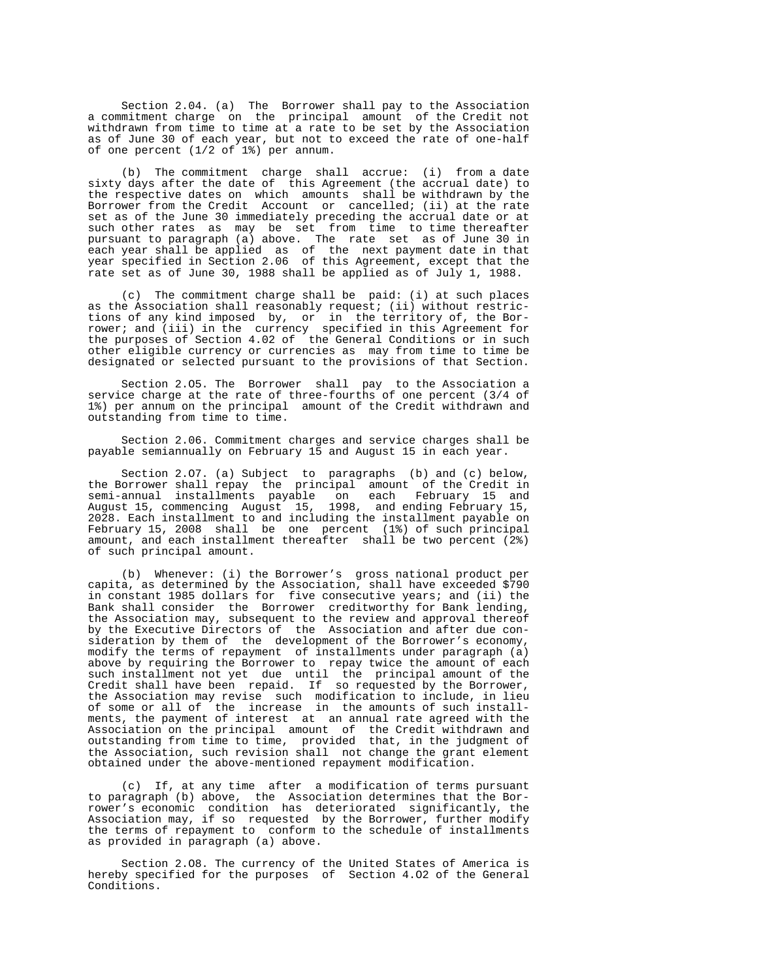Section 2.04. (a) The Borrower shall pay to the Association a commitment charge on the principal amount of the Credit not withdrawn from time to time at a rate to be set by the Association as of June 30 of each year, but not to exceed the rate of one-half of one percent (1/2 of 1%) per annum.

 (b) The commitment charge shall accrue: (i) from a date sixty days after the date of this Agreement (the accrual date) to the respective dates on which amounts shall be withdrawn by the Borrower from the Credit Account or cancelled; (ii) at the rate set as of the June 30 immediately preceding the accrual date or at such other rates as may be set from time to time thereafter pursuant to paragraph (a) above. The rate set as of June 30 in each year shall be applied as of the next payment date in that year specified in Section 2.06 of this Agreement, except that the rate set as of June 30, 1988 shall be applied as of July 1, 1988.

 (c) The commitment charge shall be paid: (i) at such places as the Association shall reasonably request; (ii) without restrictions of any kind imposed by, or in the territory of, the Borrower; and (iii) in the currency specified in this Agreement for the purposes of Section 4.02 of the General Conditions or in such other eligible currency or currencies as may from time to time be designated or selected pursuant to the provisions of that Section.

 Section 2.O5. The Borrower shall pay to the Association a service charge at the rate of three-fourths of one percent (3/4 of 1%) per annum on the principal amount of the Credit withdrawn and outstanding from time to time.

 Section 2.06. Commitment charges and service charges shall be payable semiannually on February 15 and August 15 in each year.

 Section 2.O7. (a) Subject to paragraphs (b) and (c) below, the Borrower shall repay the principal amount of the Credit in semi-annual installments payable on each February 15 and August 15, commencing August 15, 1998, and ending February 15, 2028. Each installment to and including the installment payable on February 15, 2008 shall be one percent (1%) of such principal amount, and each installment thereafter shall be two percent (2%) of such principal amount.

 (b) Whenever: (i) the Borrower's gross national product per capita, as determined by the Association, shall have exceeded \$790 in constant 1985 dollars for five consecutive years; and (ii) the Bank shall consider the Borrower creditworthy for Bank lending, the Association may, subsequent to the review and approval thereof by the Executive Directors of the Association and after due consideration by them of the development of the Borrower's economy, modify the terms of repayment of installments under paragraph (a) above by requiring the Borrower to repay twice the amount of each such installment not yet due until the principal amount of the Credit shall have been repaid. If so requested by the Borrower, the Association may revise such modification to include, in lieu of some or all of the increase in the amounts of such installments, the payment of interest at an annual rate agreed with the Association on the principal amount of the Credit withdrawn and outstanding from time to time, provided that, in the judgment of the Association, such revision shall not change the grant element obtained under the above-mentioned repayment modification.

 (c) If, at any time after a modification of terms pursuant to paragraph (b) above, the Association determines that the Borrower's economic condition has deteriorated significantly, the Association may, if so requested by the Borrower, further modify the terms of repayment to conform to the schedule of installments as provided in paragraph (a) above.

 Section 2.O8. The currency of the United States of America is hereby specified for the purposes of Section 4.O2 of the General Conditions.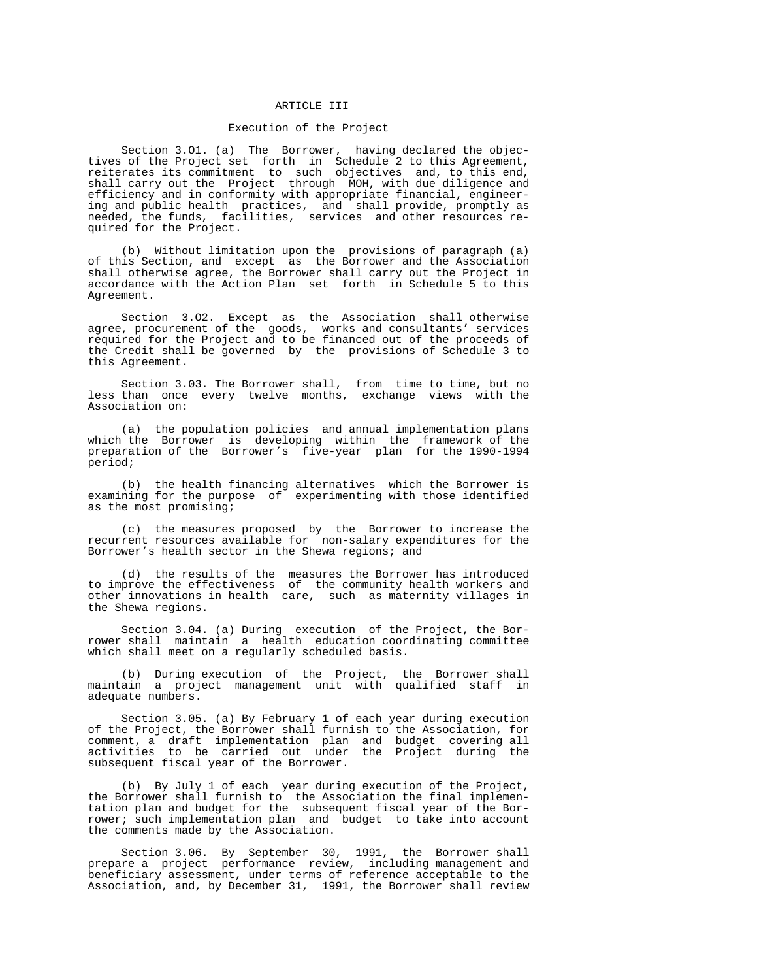### ARTICLE III

# Execution of the Project

 Section 3.O1. (a) The Borrower, having declared the objectives of the Project set forth in Schedule 2 to this Agreement, reiterates its commitment to such objectives and, to this end, shall carry out the Project through MOH, with due diligence and efficiency and in conformity with appropriate financial, engineering and public health practices, and shall provide, promptly as needed, the funds, facilities, services and other resources required for the Project.

 (b) Without limitation upon the provisions of paragraph (a) of this Section, and except as the Borrower and the Association shall otherwise agree, the Borrower shall carry out the Project in accordance with the Action Plan set forth in Schedule 5 to this Agreement.

 Section 3.O2. Except as the Association shall otherwise agree, procurement of the goods, works and consultants' services required for the Project and to be financed out of the proceeds of the Credit shall be governed by the provisions of Schedule 3 to this Agreement.

 Section 3.03. The Borrower shall, from time to time, but no less than once every twelve months, exchange views with the Association on:

 (a) the population policies and annual implementation plans which the Borrower is developing within the framework of the preparation of the Borrower's five-year plan for the 1990-1994 period;

 (b) the health financing alternatives which the Borrower is examining for the purpose of experimenting with those identified as the most promising;

 (c) the measures proposed by the Borrower to increase the recurrent resources available for non-salary expenditures for the Borrower's health sector in the Shewa regions; and

 (d) the results of the measures the Borrower has introduced to improve the effectiveness of the community health workers and other innovations in health care, such as maternity villages in the Shewa regions.

 Section 3.04. (a) During execution of the Project, the Borrower shall maintain a health education coordinating committee which shall meet on a regularly scheduled basis.

 (b) During execution of the Project, the Borrower shall maintain a project management unit with qualified staff in adequate numbers.

 Section 3.05. (a) By February 1 of each year during execution of the Project, the Borrower shall furnish to the Association, for comment, a draft implementation plan and budget covering all activities to be carried out under the Project during the subsequent fiscal year of the Borrower.

 (b) By July 1 of each year during execution of the Project, the Borrower shall furnish to the Association the final implementation plan and budget for the subsequent fiscal year of the Borrower; such implementation plan and budget to take into account the comments made by the Association.

 Section 3.06. By September 30, 1991, the Borrower shall prepare a project performance review, including management and beneficiary assessment, under terms of reference acceptable to the Association, and, by December 31, 1991, the Borrower shall review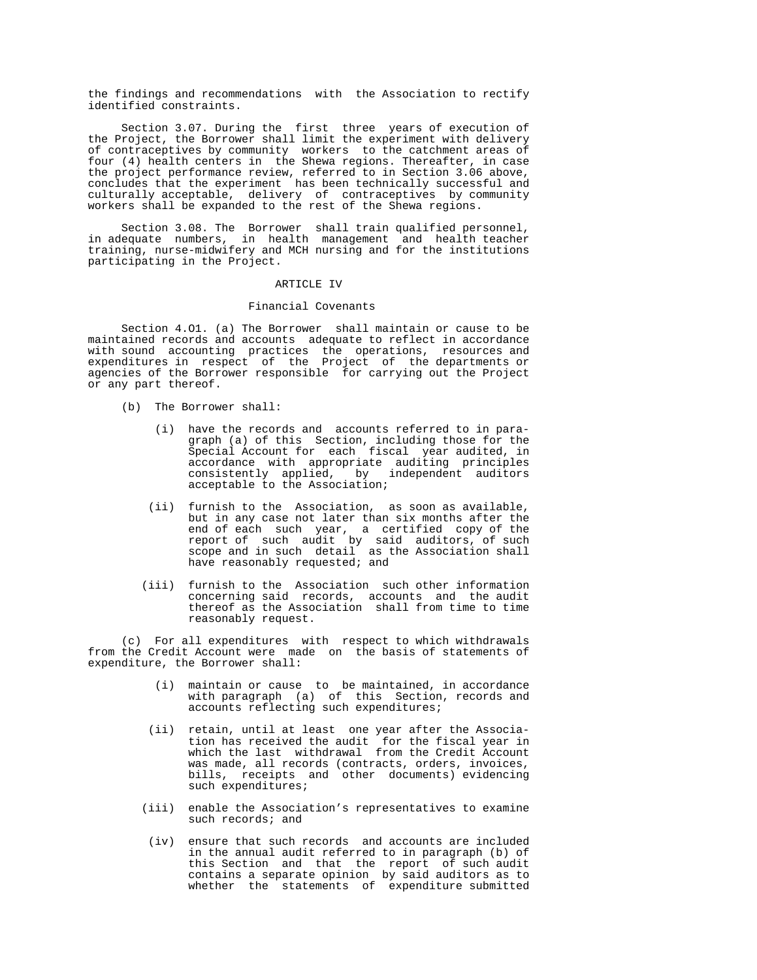the findings and recommendations with the Association to rectify identified constraints.

 Section 3.07. During the first three years of execution of the Project, the Borrower shall limit the experiment with delivery of contraceptives by community workers to the catchment areas of four (4) health centers in the Shewa regions. Thereafter, in case the project performance review, referred to in Section 3.06 above, concludes that the experiment has been technically successful and culturally acceptable, delivery of contraceptives by community workers shall be expanded to the rest of the Shewa regions.

 Section 3.08. The Borrower shall train qualified personnel, in adequate numbers, in health management and health teacher training, nurse-midwifery and MCH nursing and for the institutions participating in the Project.

### ARTICLE IV

### Financial Covenants

 Section 4.O1. (a) The Borrower shall maintain or cause to be maintained records and accounts adequate to reflect in accordance with sound accounting practices the operations, resources and expenditures in respect of the Project of the departments or agencies of the Borrower responsible for carrying out the Project or any part thereof.

- (b) The Borrower shall:
- (i) have the records and accounts referred to in para graph (a) of this Section, including those for the Special Account for each fiscal year audited, in accordance with appropriate auditing principles consistently applied, by independent auditors acceptable to the Association;
- (ii) furnish to the Association, as soon as available, but in any case not later than six months after the end of each such year, a certified copy of the report of such audit by said auditors, of such scope and in such detail as the Association shall have reasonably requested; and
- (iii) furnish to the Association such other information concerning said records, accounts and the audit thereof as the Association shall from time to time reasonably request.

 (c) For all expenditures with respect to which withdrawals from the Credit Account were made on the basis of statements of expenditure, the Borrower shall:

- (i) maintain or cause to be maintained, in accordance with paragraph (a) of this Section, records and accounts reflecting such expenditures;
- (ii) retain, until at least one year after the Associa tion has received the audit for the fiscal year in which the last withdrawal from the Credit Account was made, all records (contracts, orders, invoices, bills, receipts and other documents) evidencing such expenditures;
	- (iii) enable the Association's representatives to examine such records; and
- (iv) ensure that such records and accounts are included in the annual audit referred to in paragraph (b) of this Section and that the report of such audit contains a separate opinion by said auditors as to whether the statements of expenditure submitted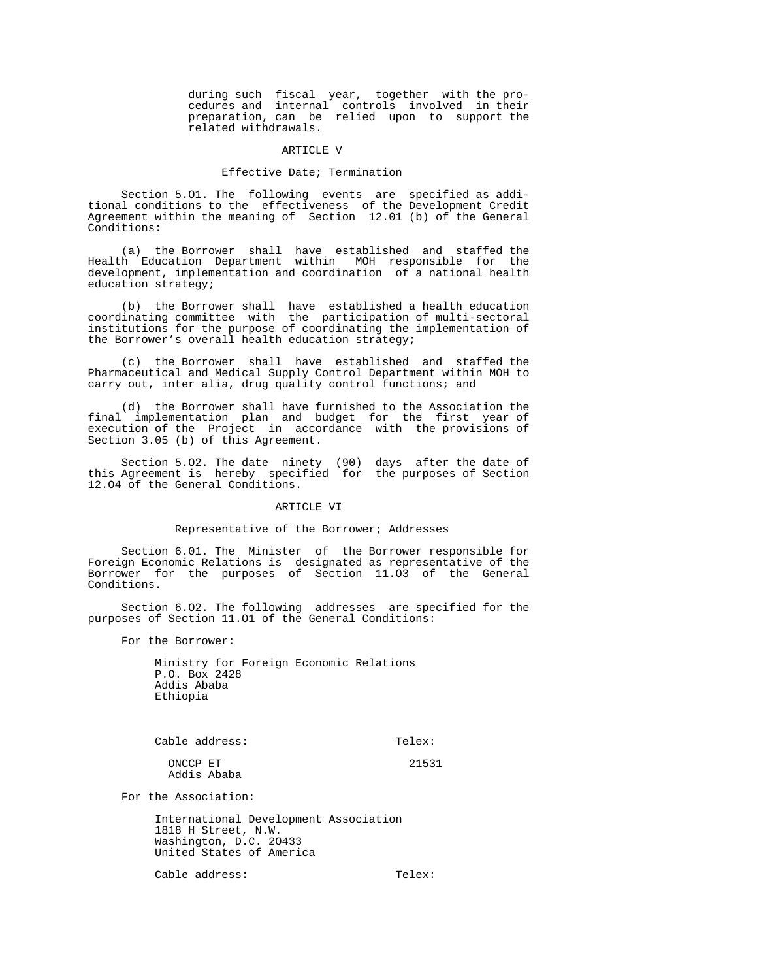during such fiscal year, together with the pro cedures and internal controls involved in their preparation, can be relied upon to support the related withdrawals.

#### ARTICLE V

### Effective Date; Termination

 Section 5.O1. The following events are specified as additional conditions to the effectiveness of the Development Credit Agreement within the meaning of Section 12.01 (b) of the General Conditions:

 (a) the Borrower shall have established and staffed the Health Education Department within MOH responsible for the development, implementation and coordination of a national health education strategy;

 (b) the Borrower shall have established a health education coordinating committee with the participation of multi-sectoral institutions for the purpose of coordinating the implementation of the Borrower's overall health education strategy;

 (c) the Borrower shall have established and staffed the Pharmaceutical and Medical Supply Control Department within MOH to carry out, inter alia, drug quality control functions; and

 (d) the Borrower shall have furnished to the Association the final implementation plan and budget for the first year of execution of the Project in accordance with the provisions of Section 3.05 (b) of this Agreement.

 Section 5.O2. The date ninety (90) days after the date of this Agreement is hereby specified for the purposes of Section 12.O4 of the General Conditions.

# ARTICLE VI

#### Representative of the Borrower; Addresses

 Section 6.01. The Minister of the Borrower responsible for Foreign Economic Relations is designated as representative of the Borrower for the purposes of Section 11.O3 of the General Conditions.

 Section 6.O2. The following addresses are specified for the purposes of Section 11.O1 of the General Conditions:

For the Borrower:

 Ministry for Foreign Economic Relations P.O. Box 2428 Addis Ababa Ethiopia

 Cable address: Telex: ONCCP ET 21531 Addis Ababa

For the Association:

 International Development Association 1818 H Street, N.W. Washington, D.C. 2O433 United States of America

Cable address: Telex: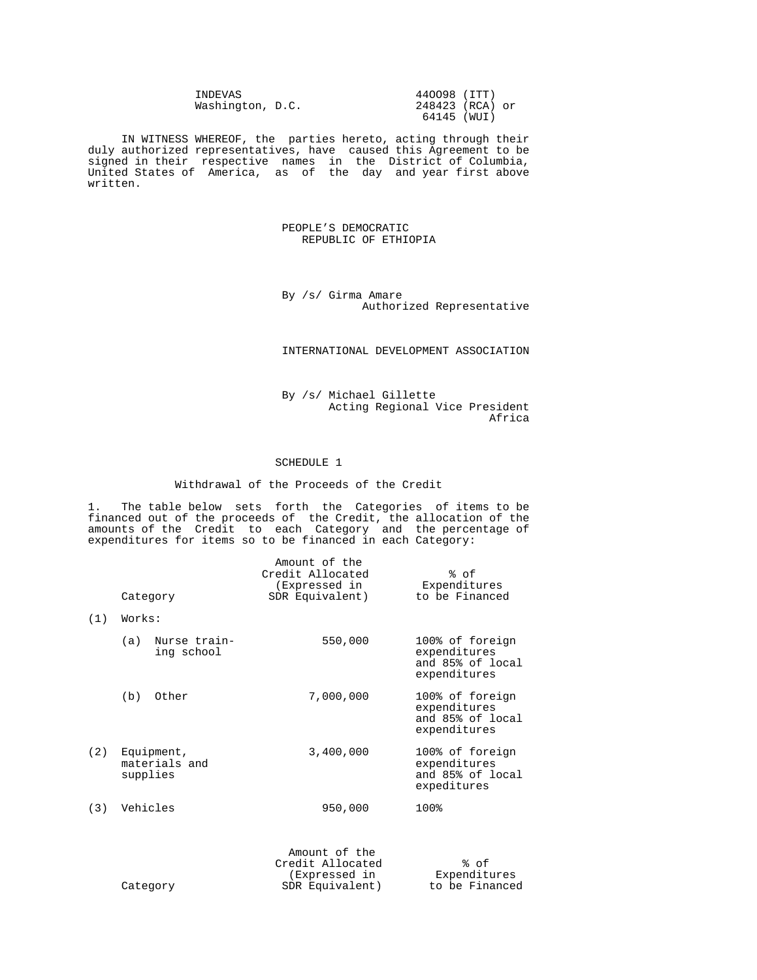| INDEVAS          | 440098 (ITT)    |  |
|------------------|-----------------|--|
| Washington, D.C. | 248423 (RCA) or |  |
|                  | 64145 (WUI)     |  |

 IN WITNESS WHEREOF, the parties hereto, acting through their duly authorized representatives, have caused this Agreement to be signed in their respective names in the District of Columbia, United States of America, as of the day and year first above written.

### PEOPLE'S DEMOCRATIC REPUBLIC OF ETHIOPIA

 By /s/ Girma Amare Authorized Representative

INTERNATIONAL DEVELOPMENT ASSOCIATION

 By /s/ Michael Gillette Acting Regional Vice President Africa

### SCHEDULE 1

### Withdrawal of the Proceeds of the Credit

1. The table below sets forth the Categories of items to be financed out of the proceeds of the Credit, the allocation of the amounts of the Credit to each Category and the percentage of expenditures for items so to be financed in each Category:

|     |        | Category                                | Amount of the<br>Credit Allocated<br>(Expressed in<br>SDR Equivalent) | % of<br>Expenditures<br>to be Financed                              |
|-----|--------|-----------------------------------------|-----------------------------------------------------------------------|---------------------------------------------------------------------|
| (1) | Works: |                                         |                                                                       |                                                                     |
|     | (a)    | Nurse train-<br>ing school              | 550,000                                                               | 100% of foreign<br>expenditures<br>and 85% of local<br>expenditures |
|     | (b)    | Other                                   | 7,000,000                                                             | 100% of foreign<br>expenditures<br>and 85% of local<br>expenditures |
| (2) |        | Equipment,<br>materials and<br>supplies | 3,400,000                                                             | 100% of foreign<br>expenditures<br>and 85% of local<br>expeditures  |
| (3) |        | Vehicles                                | 950,000                                                               | 100%                                                                |
|     |        |                                         |                                                                       |                                                                     |

|          | Amount of the    |                |
|----------|------------------|----------------|
|          | Credit Allocated | ്റf            |
|          | (Expressed in    | Expenditures   |
| Category | SDR Equivalent)  | to be Financed |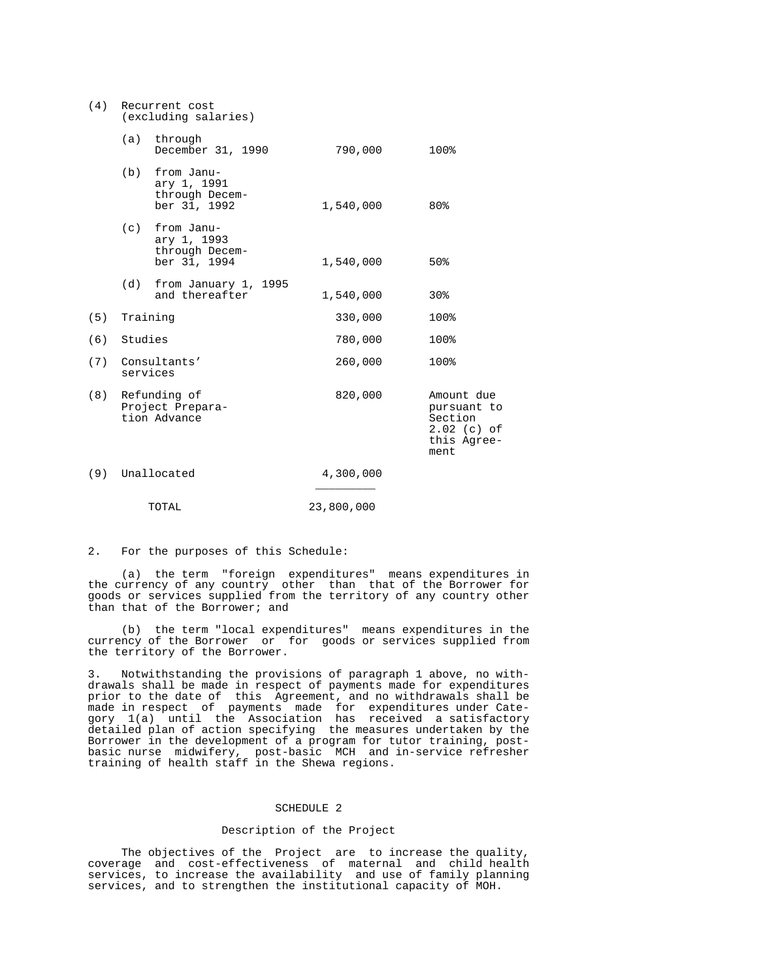| (4) |                                                  | Recurrent cost<br>(excluding salaries)                      |            |                                                                              |  |  |
|-----|--------------------------------------------------|-------------------------------------------------------------|------------|------------------------------------------------------------------------------|--|--|
|     | (a)                                              | through<br>December 31, 1990                                | 790,000    | 100%                                                                         |  |  |
|     | (b)                                              | from Janu-<br>ary 1, 1991<br>through Decem-<br>ber 31, 1992 | 1,540,000  | 80%                                                                          |  |  |
|     | (c)                                              | from Janu-<br>ary 1, 1993<br>through Decem-<br>ber 31, 1994 | 1,540,000  | 50%                                                                          |  |  |
|     | (d)                                              | from January 1, 1995<br>and thereafter                      | 1,540,000  | 30%                                                                          |  |  |
| (5) |                                                  | Training                                                    | 330,000    | 100%                                                                         |  |  |
| (6) | Studies                                          |                                                             | 780,000    | 100%                                                                         |  |  |
| (7) | Consultants'<br>services                         |                                                             | 260,000    | 100%                                                                         |  |  |
| (8) | Refunding of<br>Project Prepara-<br>tion Advance |                                                             | 820,000    | Amount due<br>pursuant to<br>Section<br>$2.02$ (c) of<br>this Agree-<br>ment |  |  |
|     |                                                  | (9) Unallocated                                             | 4,300,000  |                                                                              |  |  |
|     |                                                  | TOTAL                                                       | 23,800,000 |                                                                              |  |  |

### 2. For the purposes of this Schedule:

 (a) the term "foreign expenditures" means expenditures in the currency of any country other than that of the Borrower for goods or services supplied from the territory of any country other than that of the Borrower; and

 (b) the term "local expenditures" means expenditures in the currency of the Borrower or for goods or services supplied from the territory of the Borrower.

3. Notwithstanding the provisions of paragraph 1 above, no withdrawals shall be made in respect of payments made for expenditures prior to the date of this Agreement, and no withdrawals shall be made in respect of payments made for expenditures under Category 1(a) until the Association has received a satisfactory detailed plan of action specifying the measures undertaken by the Borrower in the development of a program for tutor training, postbasic nurse midwifery, post-basic MCH and in-service refresher training of health staff in the Shewa regions.

### SCHEDULE 2

### Description of the Project

 The objectives of the Project are to increase the quality, coverage and cost-effectiveness of maternal and child health services, to increase the availability and use of family planning services, and to strengthen the institutional capacity of MOH.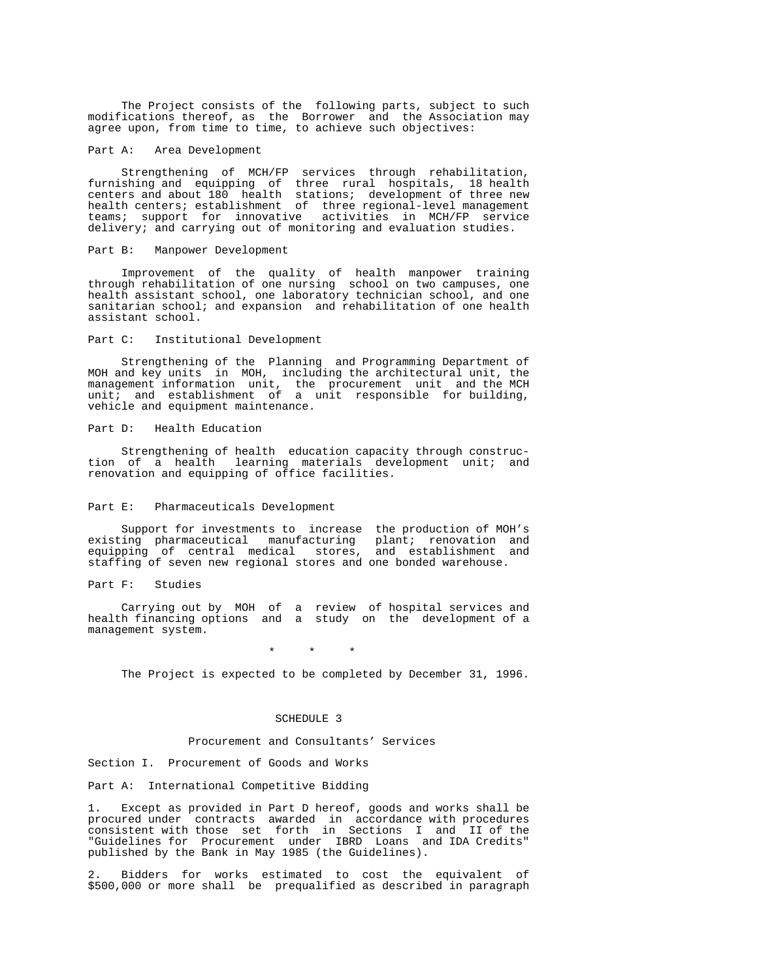The Project consists of the following parts, subject to such modifications thereof, as the Borrower and the Association may agree upon, from time to time, to achieve such objectives:

#### Part A: Area Development

 Strengthening of MCH/FP services through rehabilitation, furnishing and equipping of three rural hospitals, 18 health centers and about 180 health stations; development of three new health centers; establishment of three regional-level management teams; support for innovative activities in MCH/FP service delivery; and carrying out of monitoring and evaluation studies.

#### Part B: Manpower Development

 Improvement of the quality of health manpower training through rehabilitation of one nursing school on two campuses, one health assistant school, one laboratory technician school, and one sanitarian school; and expansion and rehabilitation of one health assistant school.

# Part C: Institutional Development

 Strengthening of the Planning and Programming Department of MOH and key units in MOH, including the architectural unit, the management information unit, the procurement unit and the MCH unit; and establishment of a unit responsible for building, vehicle and equipment maintenance.

# Part D: Health Education

 Strengthening of health education capacity through construction of a health learning materials development unit; and renovation and equipping of office facilities.

### Part E: Pharmaceuticals Development

 Support for investments to increase the production of MOH's existing pharmaceutical manufacturing plant; renovation and equipping of central medical stores, and establishment and staffing of seven new regional stores and one bonded warehouse.

Part F: Studies

 Carrying out by MOH of a review of hospital services and health financing options and a study on the development of a management system.

\* \* \*

The Project is expected to be completed by December 31, 1996.

### SCHEDULE 3

### Procurement and Consultants' Services

Section I. Procurement of Goods and Works

Part A: International Competitive Bidding

1. Except as provided in Part D hereof, goods and works shall be procured under contracts awarded in accordance with procedures consistent with those set forth in Sections I and II of the "Guidelines for Procurement under IBRD Loans and IDA Credits" published by the Bank in May 1985 (the Guidelines).

Bidders for works estimated to cost the equivalent of \$500,000 or more shall be prequalified as described in paragraph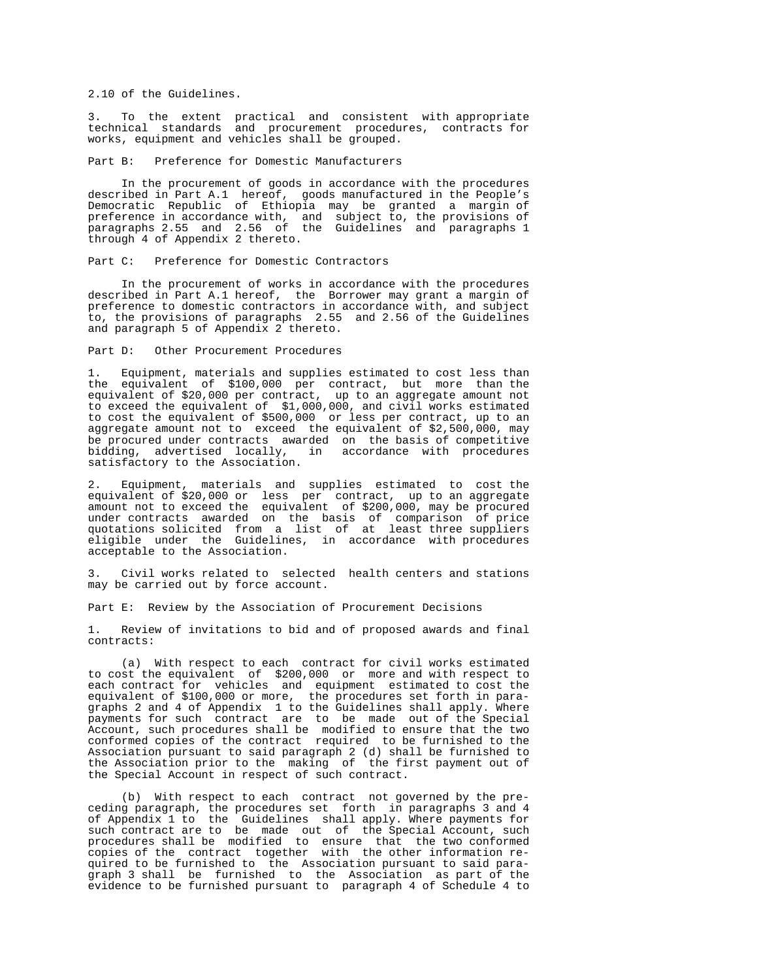2.10 of the Guidelines.

3. To the extent practical and consistent with appropriate technical standards and procurement procedures, contracts for works, equipment and vehicles shall be grouped.

### Part B: Preference for Domestic Manufacturers

 In the procurement of goods in accordance with the procedures described in Part A.1 hereof, goods manufactured in the People's Democratic Republic of Ethiopia may be granted a margin of preference in accordance with, and subject to, the provisions of paragraphs 2.55 and 2.56 of the Guidelines and paragraphs 1 through 4 of Appendix 2 thereto.

Part C: Preference for Domestic Contractors

 In the procurement of works in accordance with the procedures described in Part A.1 hereof, the Borrower may grant a margin of preference to domestic contractors in accordance with, and subject to, the provisions of paragraphs 2.55 and 2.56 of the Guidelines and paragraph 5 of Appendix 2 thereto.

Part D: Other Procurement Procedures

1. Equipment, materials and supplies estimated to cost less than the equivalent of \$100,000 per contract, but more than the equivalent of \$20,000 per contract, up to an aggregate amount not to exceed the equivalent of \$1,000,000, and civil works estimated to cost the equivalent of \$500,000 or less per contract, up to an aggregate amount not to exceed the equivalent of \$2,500,000, may be procured under contracts awarded on the basis of competitive bidding, advertised locally, in accordance with procedures satisfactory to the Association.

2. Equipment, materials and supplies estimated to cost the equivalent of \$20,000 or less per contract, up to an aggregate amount not to exceed the equivalent of \$200,000, may be procured under contracts awarded on the basis of comparison of price quotations solicited from a list of at least three suppliers eligible under the Guidelines, in accordance with procedures acceptable to the Association.

Civil works related to selected health centers and stations may be carried out by force account.

Part E: Review by the Association of Procurement Decisions

Review of invitations to bid and of proposed awards and final contracts:

 (a) With respect to each contract for civil works estimated to cost the equivalent of \$200,000 or more and with respect to each contract for vehicles and equipment estimated to cost the equivalent of \$100,000 or more, the procedures set forth in paragraphs 2 and 4 of Appendix 1 to the Guidelines shall apply. Where payments for such contract are to be made out of the Special Account, such procedures shall be modified to ensure that the two conformed copies of the contract required to be furnished to the Association pursuant to said paragraph 2 (d) shall be furnished to the Association prior to the making of the first payment out of the Special Account in respect of such contract.

 (b) With respect to each contract not governed by the preceding paragraph, the procedures set forth in paragraphs 3 and 4 of Appendix 1 to the Guidelines shall apply. Where payments for such contract are to be made out of the Special Account, such procedures shall be modified to ensure that the two conformed copies of the contract together with the other information required to be furnished to the Association pursuant to said paragraph 3 shall be furnished to the Association as part of the evidence to be furnished pursuant to paragraph 4 of Schedule 4 to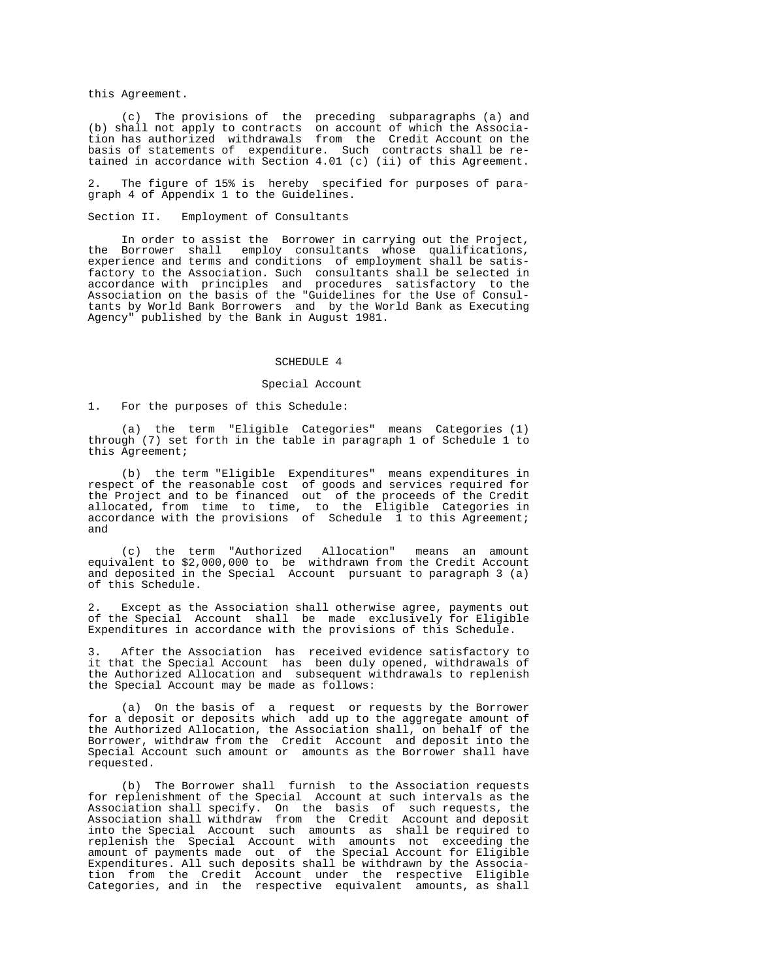this Agreement.

 (c) The provisions of the preceding subparagraphs (a) and (b) shall not apply to contracts on account of which the Association has authorized withdrawals from the Credit Account on the basis of statements of expenditure. Such contracts shall be retained in accordance with Section 4.01 (c) (ii) of this Agreement.

2. The figure of 15% is hereby specified for purposes of paragraph 4 of Appendix 1 to the Guidelines.

Section II. Employment of Consultants

 In order to assist the Borrower in carrying out the Project, the Borrower shall employ consultants whose qualifications, experience and terms and conditions of employment shall be satisfactory to the Association. Such consultants shall be selected in accordance with principles and procedures satisfactory to the Association on the basis of the "Guidelines for the Use of Consultants by World Bank Borrowers and by the World Bank as Executing Agency" published by the Bank in August 1981.

#### SCHEDULE 4

#### Special Account

1. For the purposes of this Schedule:

 (a) the term "Eligible Categories" means Categories (1) through (7) set forth in the table in paragraph 1 of Schedule 1 to this Agreement;

 (b) the term "Eligible Expenditures" means expenditures in respect of the reasonable cost of goods and services required for the Project and to be financed out of the proceeds of the Credit allocated, from time to time, to the Eligible Categories in accordance with the provisions of Schedule 1 to this Agreement; and

 (c) the term "Authorized Allocation" means an amount equivalent to \$2,000,000 to be withdrawn from the Credit Account and deposited in the Special Account pursuant to paragraph 3 (a) of this Schedule.

2. Except as the Association shall otherwise agree, payments out of the Special Account shall be made exclusively for Eligible Expenditures in accordance with the provisions of this Schedule.

After the Association has received evidence satisfactory to it that the Special Account has been duly opened, withdrawals of the Authorized Allocation and subsequent withdrawals to replenish the Special Account may be made as follows:

 (a) On the basis of a request or requests by the Borrower for a deposit or deposits which add up to the aggregate amount of the Authorized Allocation, the Association shall, on behalf of the Borrower, withdraw from the Credit Account and deposit into the Special Account such amount or amounts as the Borrower shall have requested.

 (b) The Borrower shall furnish to the Association requests for replenishment of the Special Account at such intervals as the Association shall specify. On the basis of such requests, the Association shall withdraw from the Credit Account and deposit into the Special Account such amounts as shall be required to replenish the Special Account with amounts not exceeding the amount of payments made out of the Special Account for Eligible Expenditures. All such deposits shall be withdrawn by the Association from the Credit Account under the respective Eligible Categories, and in the respective equivalent amounts, as shall